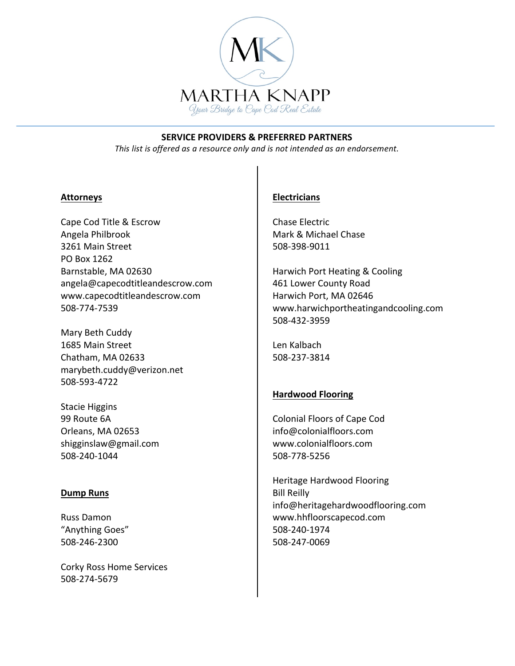

This list is offered as a resource only and is not intended as an endorsement.

#### **Attorneys**

Cape Cod Title & Escrow Angela Philbrook 3261 Main Street PO Box 1262 Barnstable, MA 02630 angela@capecodtitleandescrow.com www.capecodtitleandescrow.com 508-774-7539

Mary Beth Cuddy 1685 Main Street Chatham, MA 02633 marybeth.cuddy@verizon.net 508-593-4722

Stacie Higgins 99 Route 6A Orleans, MA 02653 shigginslaw@gmail.com 508-240-1044

### **Dump Runs**

Russ Damon "Anything Goes" 508-246-2300

Corky Ross Home Services 508-274-5679

### **Electricians**

Chase Electric Mark & Michael Chase 508-398-9011

Harwich Port Heating & Cooling 461 Lower County Road Harwich Port, MA 02646 www.harwichportheatingandcooling.com 508-432-3959

Len Kalbach 508-237-3814

## **Hardwood Flooring**

Colonial Floors of Cape Cod info@colonialfloors.com www.colonialfloors.com 508-778-5256

Heritage Hardwood Flooring **Bill Reilly** info@heritagehardwoodflooring.com www.hhfloorscapecod.com 508-240-1974 508-247-0069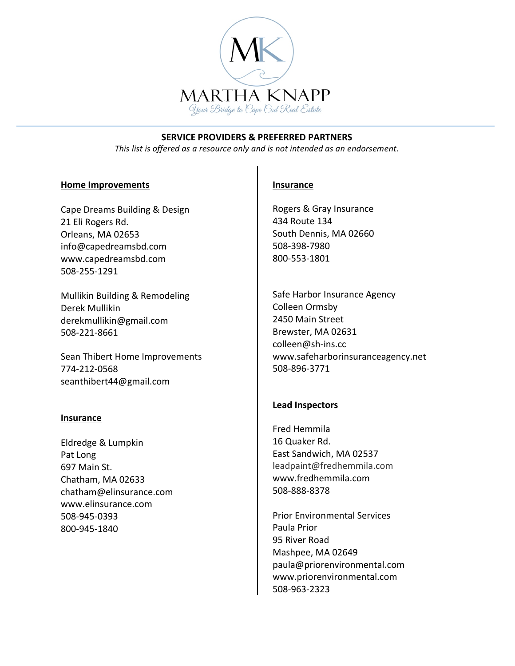

This list is offered as a resource only and is not intended as an endorsement.

### **Home Improvements**

Cape Dreams Building & Design 21 Eli Rogers Rd. Orleans, MA 02653 info@capedreamsbd.com www.capedreamsbd.com 508-255-1291

Mullikin Building & Remodeling Derek Mullikin derekmullikin@gmail.com 508-221-8661

Sean Thibert Home Improvements 774-212-0568 seanthibert44@gmail.com

### **Insurance**

Eldredge & Lumpkin Pat Long 697 Main St. Chatham, MA 02633 chatham@elinsurance.com www.elinsurance.com 508-945-0393 800-945-1840

### **Insurance**

Rogers & Gray Insurance 434 Route 134 South Dennis, MA 02660 508-398-7980 800-553-1801

Safe Harbor Insurance Agency Colleen Ormsby 2450 Main Street Brewster, MA 02631 colleen@sh-ins.cc www.safeharborinsuranceagency.net 508-896-3771

## **Lead Inspectors**

Fred Hemmila 16 Quaker Rd. East Sandwich, MA 02537 leadpaint@fredhemmila.com www.fredhemmila.com 508-888-8378

**Prior Environmental Services** Paula Prior 95 River Road Mashpee, MA 02649 paula@priorenvironmental.com www.priorenvironmental.com 508-963-2323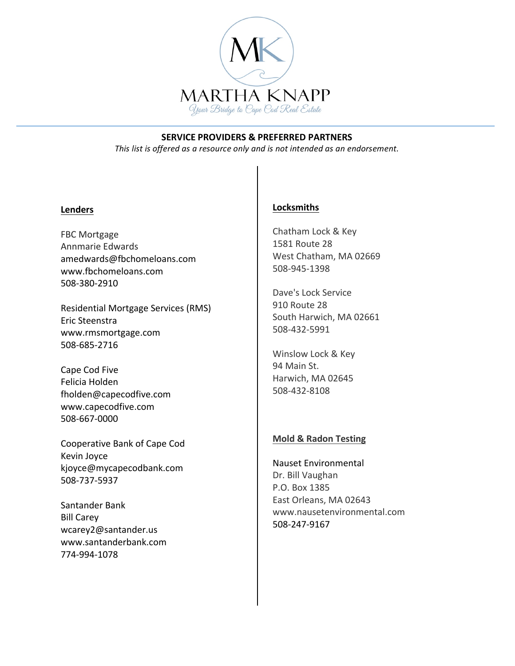

This list is offered as a resource only and is not intended as an endorsement.

### **Lenders**

FBC Mortgage Annmarie Edwards amedwards@fbchomeloans.com www.fbchomeloans.com 508-380-2910

Residential Mortgage Services (RMS) Eric Steenstra www.rmsmortgage.com 508-685-2716

Cape Cod Five Felicia Holden fholden@capecodfive.com www.capecodfive.com 508-667-0000

Cooperative Bank of Cape Cod Kevin Joyce kjoyce@mycapecodbank.com 508-737-5937

Santander Bank **Bill Carey** wcarey2@santander.us www.santanderbank.com 774-994-1078

# **Locksmiths**

Chatham Lock & Key 1581 Route 28 West Chatham, MA 02669 508-945-1398

Dave's Lock Service 910 Route 28 South Harwich, MA 02661 508-432-5991

Winslow Lock & Key 94 Main St. Harwich, MA 02645 508-432-8108

### **Mold & Radon Testing**

**Nauset Environmental** Dr. Bill Vaughan P.O. Box 1385 East Orleans, MA 02643 www.nausetenvironmental.com 508-247-9167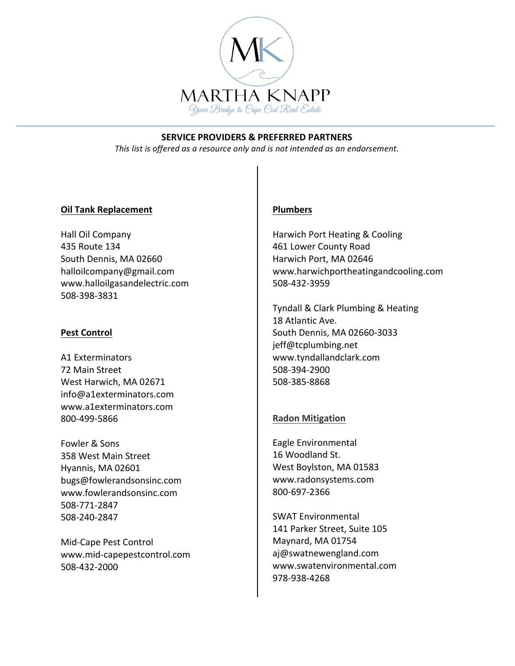

This list is offered as a resource only and is not intended as an endorsement.

## **Oil Tank Replacement**

Hall Oil Company 435 Route 134 South Dennis, MA 02660 halloilcompany@gmail.com www.halloilgasandelectric.com 508-398-3831

### **Pest Control**

A1 Exterminators 72 Main Street West Harwich, MA 02671 info@a1exterminators.com www.a1exterminators.com 800-499-5866

Fowler & Sons 358 West Main Street Hyannis, MA 02601 bugs@fowlerandsonsinc.com www.fowlerandsonsinc.com 508-771-2847 508-240-2847

Mid-Cape Pest Control www.mid-capepestcontrol.com 508-432-2000

## **Plumbers**

Harwich Port Heating & Cooling 461 Lower County Road Harwich Port, MA 02646 www.harwichportheatingandcooling.com 508-432-3959

Tyndall & Clark Plumbing & Heating 18 Atlantic Ave. South Dennis, MA 02660-3033 jeff@tcplumbing.net www.tyndallandclark.com 508-394-2900 508-385-8868

## **Radon Mitigation**

Eagle Environmental 16 Woodland St. West Boylston, MA 01583 www.radonsystems.com 800-697-2366

**SWAT Environmental** 141 Parker Street, Suite 105 Maynard, MA 01754 aj@swatnewengland.com www.swatenvironmental.com 978-938-4268